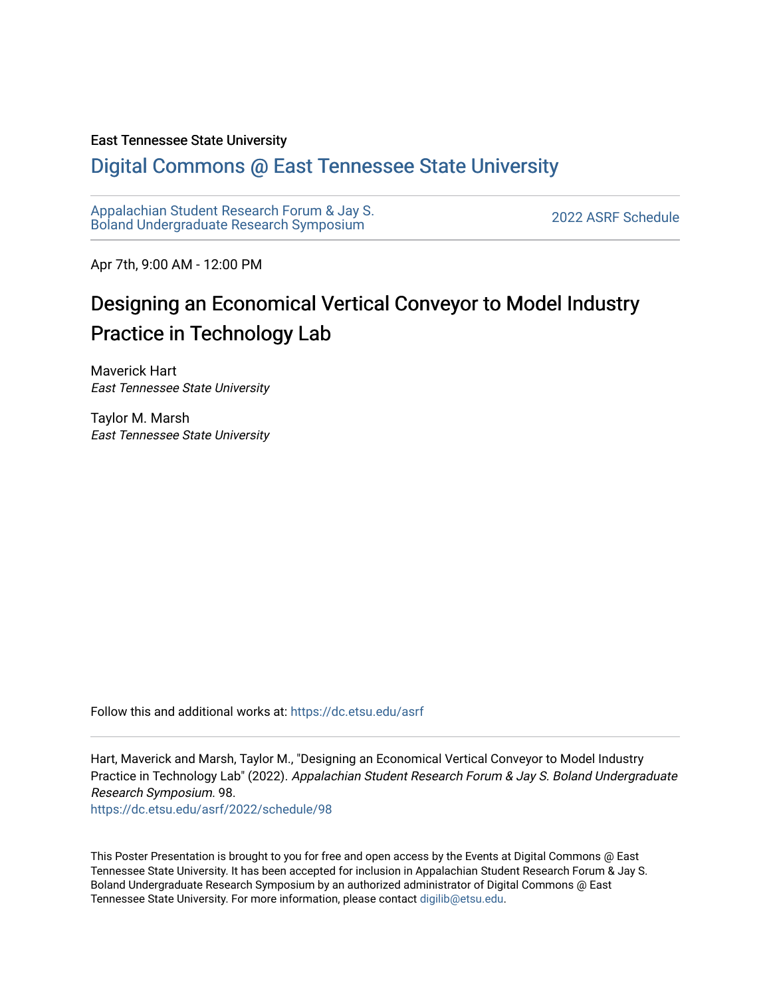### East Tennessee State University

### [Digital Commons @ East Tennessee State University](https://dc.etsu.edu/)

[Appalachian Student Research Forum & Jay S.](https://dc.etsu.edu/asrf)  Appalactifalt Student Research Forum & Jay S.<br>Boland Undergraduate Research Symposium

Apr 7th, 9:00 AM - 12:00 PM

### Designing an Economical Vertical Conveyor to Model Industry Practice in Technology Lab

Maverick Hart East Tennessee State University

Taylor M. Marsh East Tennessee State University

Follow this and additional works at: [https://dc.etsu.edu/asrf](https://dc.etsu.edu/asrf?utm_source=dc.etsu.edu%2Fasrf%2F2022%2Fschedule%2F98&utm_medium=PDF&utm_campaign=PDFCoverPages) 

Hart, Maverick and Marsh, Taylor M., "Designing an Economical Vertical Conveyor to Model Industry Practice in Technology Lab" (2022). Appalachian Student Research Forum & Jay S. Boland Undergraduate Research Symposium. 98.

[https://dc.etsu.edu/asrf/2022/schedule/98](https://dc.etsu.edu/asrf/2022/schedule/98?utm_source=dc.etsu.edu%2Fasrf%2F2022%2Fschedule%2F98&utm_medium=PDF&utm_campaign=PDFCoverPages) 

This Poster Presentation is brought to you for free and open access by the Events at Digital Commons @ East Tennessee State University. It has been accepted for inclusion in Appalachian Student Research Forum & Jay S. Boland Undergraduate Research Symposium by an authorized administrator of Digital Commons @ East Tennessee State University. For more information, please contact [digilib@etsu.edu](mailto:digilib@etsu.edu).